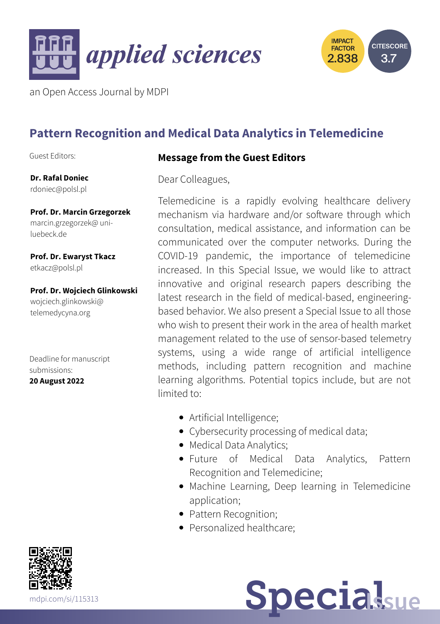



an Open Access Journal by MDPI

# **Pattern Recognition and Medical Data Analytics in Telemedicine**

Guest Editors:

**Dr. Rafal Doniec** [rdoniec@polsl.pl](mailto:rdoniec@polsl.pl)

**Prof. Dr. Marcin Grzegorzek** [marcin.grzegorzek@](mailto:marcin.grzegorzek@uni-luebeck.de) uniluebeck.de

**Prof. Dr. Ewaryst Tkacz** [etkacz@polsl.pl](mailto:etkacz@polsl.pl)

**Prof. Dr. Wojciech Glinkowski** [wojciech.glinkowski@](mailto:wojciech.glinkowski@telemedycyna.org) telemedycyna.org

Deadline for manuscript submissions:

**20 August 2022**

### **Message from the Guest Editors**

Dear Colleagues,

Telemedicine is a rapidly evolving healthcare delivery mechanism via hardware and/or software through which consultation, medical assistance, and information can be communicated over the computer networks. During the COVID-19 pandemic, the importance of telemedicine increased. In this Special Issue, we would like to attract innovative and original research papers describing the latest research in the field of medical-based, engineeringbased behavior. We also present a Special Issue to all those who wish to present their work in the area of health market management related to the use of sensor-based telemetry systems, using a wide range of artificial intelligence methods, including pattern recognition and machine learning algorithms. Potential topics include, but are not limited to:

- Artificial Intelligence;
- Cybersecurity processing of medical data;
- Medical Data Analytics;
- Future of Medical Data Analytics, Pattern Recognition and Telemedicine;
- Machine Learning, Deep learning in Telemedicine application;
- Pattern Recognition;
- Personalized healthcare: